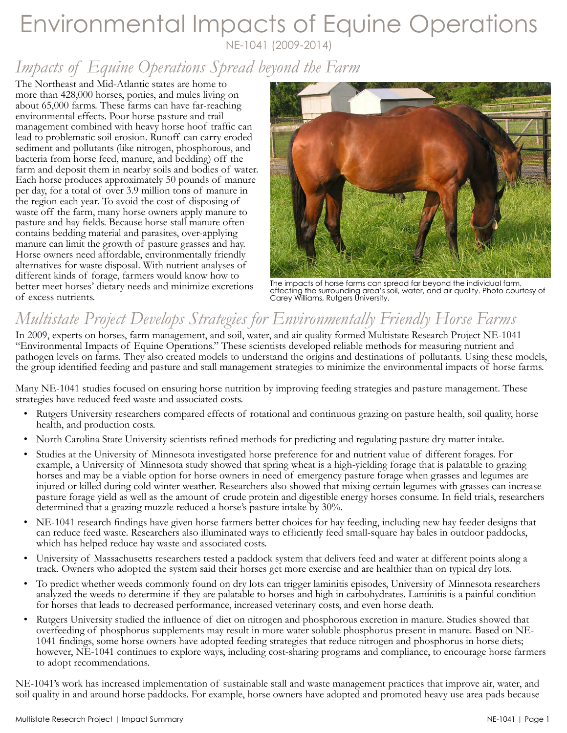## Environmental Impacts of Equine Operations NE-1041 (2009-2014)

*Impacts of Equine Operations Spread beyond the Farm*

The Northeast and Mid-Atlantic states are home to more than 428,000 horses, ponies, and mules living on about 65,000 farms. These farms can have far-reaching environmental effects. Poor horse pasture and trail management combined with heavy horse hoof traffic can lead to problematic soil erosion. Runoff can carry eroded sediment and pollutants (like nitrogen, phosphorous, and bacteria from horse feed, manure, and bedding) off the farm and deposit them in nearby soils and bodies of water. Each horse produces approximately 50 pounds of manure per day, for a total of over 3.9 million tons of manure in the region each year. To avoid the cost of disposing of waste off the farm, many horse owners apply manure to pasture and hay fields. Because horse stall manure often contains bedding material and parasites, over-applying manure can limit the growth of pasture grasses and hay. Horse owners need affordable, environmentally friendly alternatives for waste disposal. With nutrient analyses of different kinds of forage, farmers would know how to better meet horses' dietary needs and minimize excretions of excess nutrients.



The impacts of horse farms can spread far beyond the individual farm, effecting the surrounding area's soil, water, and air quality. Photo courtesy of Carey Williams, Rutgers University.

# *Multistate Project Develops Strategies for Environmentally Friendly Horse Farms*

In 2009, experts on horses, farm management, and soil, water, and air quality formed Multistate Research Project NE-1041 "Environmental Impacts of Equine Operations." These scientists developed reliable methods for measuring nutrient and pathogen levels on farms. They also created models to understand the origins and destinations of pollutants. Using these models, the group identified feeding and pasture and stall management strategies to minimize the environmental impacts of horse farms.

Many NE-1041 studies focused on ensuring horse nutrition by improving feeding strategies and pasture management. These strategies have reduced feed waste and associated costs.

- Rutgers University researchers compared effects of rotational and continuous grazing on pasture health, soil quality, horse health, and production costs.
- North Carolina State University scientists refined methods for predicting and regulating pasture dry matter intake.
- Studies at the University of Minnesota investigated horse preference for and nutrient value of different forages. For example, a University of Minnesota study showed that spring wheat is a high-yielding forage that is palatable to grazing horses and may be a viable option for horse owners in need of emergency pasture forage when grasses and legumes are injured or killed during cold winter weather. Researchers also showed that mixing certain legumes with grasses can increase pasture forage yield as well as the amount of crude protein and digestible energy horses consume. In field trials, researchers determined that a grazing muzzle reduced a horse's pasture intake by 30%.
- NE-1041 research findings have given horse farmers better choices for hay feeding, including new hay feeder designs that can reduce feed waste. Researchers also illuminated ways to efficiently feed small-square hay bales in outdoor paddocks, which has helped reduce hay waste and associated costs.
- University of Massachusetts researchers tested a paddock system that delivers feed and water at different points along a track. Owners who adopted the system said their horses get more exercise and are healthier than on typical dry lots.
- To predict whether weeds commonly found on dry lots can trigger laminitis episodes, University of Minnesota researchers analyzed the weeds to determine if they are palatable to horses and high in carbohydrates. Laminitis is a painful condition for horses that leads to decreased performance, increased veterinary costs, and even horse death.
- Rutgers University studied the influence of diet on nitrogen and phosphorous excretion in manure. Studies showed that overfeeding of phosphorus supplements may result in more water soluble phosphorus present in manure. Based on NE-1041 findings, some horse owners have adopted feeding strategies that reduce nitrogen and phosphorus in horse diets; however, NE-1041 continues to explore ways, including cost-sharing programs and compliance, to encourage horse farmers to adopt recommendations.

NE-1041's work has increased implementation of sustainable stall and waste management practices that improve air, water, and soil quality in and around horse paddocks. For example, horse owners have adopted and promoted heavy use area pads because